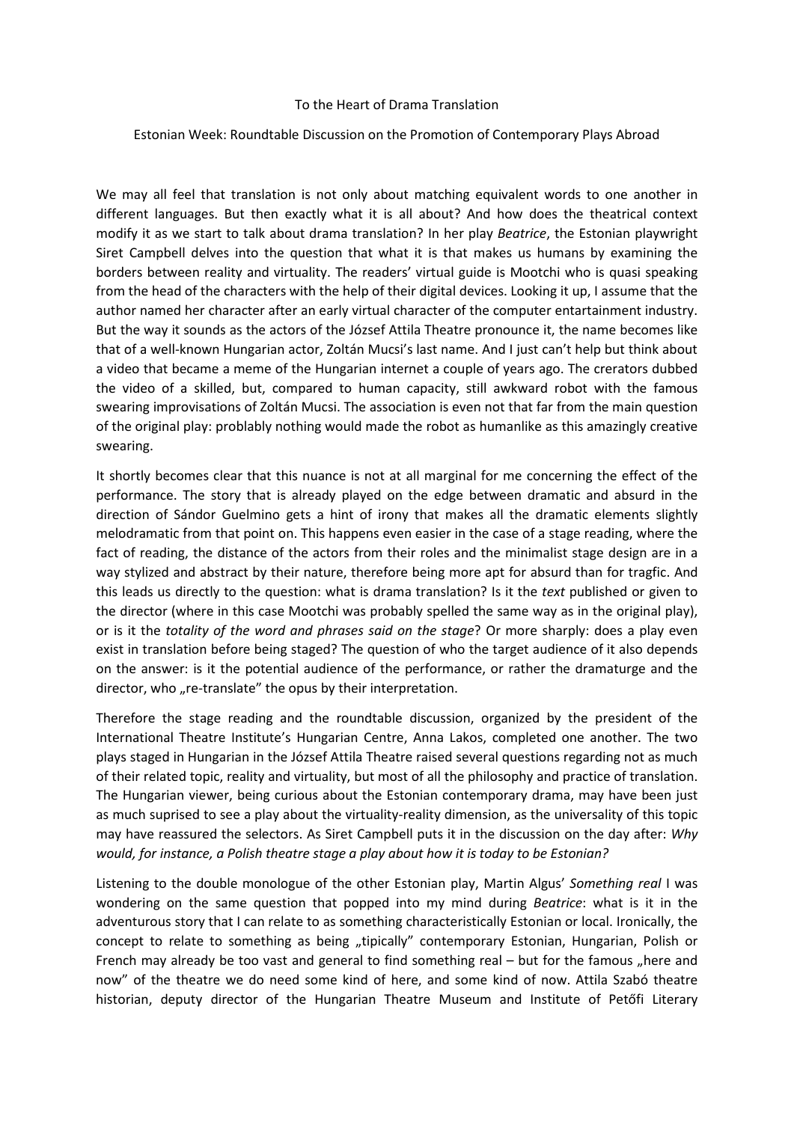## To the Heart of Drama Translation

## Estonian Week: Roundtable Discussion on the Promotion of Contemporary Plays Abroad

We may all feel that translation is not only about matching equivalent words to one another in different languages. But then exactly what it is all about? And how does the theatrical context modify it as we start to talk about drama translation? In her play *Beatrice*, the Estonian playwright Siret Campbell delves into the question that what it is that makes us humans by examining the borders between reality and virtuality. The readers' virtual guide is Mootchi who is quasi speaking from the head of the characters with the help of their digital devices. Looking it up, I assume that the author named her character after an early virtual character of the computer entartainment industry. But the way it sounds as the actors of the József Attila Theatre pronounce it, the name becomes like that of a well-known Hungarian actor, Zoltán Mucsi's last name. And I just can't help but think about a video that became a meme of the Hungarian internet a couple of years ago. The crerators dubbed the video of a skilled, but, compared to human capacity, still awkward robot with the famous swearing improvisations of Zoltán Mucsi. The association is even not that far from the main question of the original play: problably nothing would made the robot as humanlike as this amazingly creative swearing.

It shortly becomes clear that this nuance is not at all marginal for me concerning the effect of the performance. The story that is already played on the edge between dramatic and absurd in the direction of Sándor Guelmino gets a hint of irony that makes all the dramatic elements slightly melodramatic from that point on. This happens even easier in the case of a stage reading, where the fact of reading, the distance of the actors from their roles and the minimalist stage design are in a way stylized and abstract by their nature, therefore being more apt for absurd than for tragfic. And this leads us directly to the question: what is drama translation? Is it the *text* published or given to the director (where in this case Mootchi was probably spelled the same way as in the original play), or is it the *totality of the word and phrases said on the stage*? Or more sharply: does a play even exist in translation before being staged? The question of who the target audience of it also depends on the answer: is it the potential audience of the performance, or rather the dramaturge and the director, who "re-translate" the opus by their interpretation.

Therefore the stage reading and the roundtable discussion, organized by the president of the International Theatre Institute's Hungarian Centre, Anna Lakos, completed one another. The two plays staged in Hungarian in the József Attila Theatre raised several questions regarding not as much of their related topic, reality and virtuality, but most of all the philosophy and practice of translation. The Hungarian viewer, being curious about the Estonian contemporary drama, may have been just as much suprised to see a play about the virtuality-reality dimension, as the universality of this topic may have reassured the selectors. As Siret Campbell puts it in the discussion on the day after: *Why would, for instance, a Polish theatre stage a play about how it is today to be Estonian?*

Listening to the double monologue of the other Estonian play, Martin Algus' *Something real* I was wondering on the same question that popped into my mind during *Beatrice*: what is it in the adventurous story that I can relate to as something characteristically Estonian or local. Ironically, the concept to relate to something as being "tipically" contemporary Estonian, Hungarian, Polish or French may already be too vast and general to find something real – but for the famous "here and now" of the theatre we do need some kind of here, and some kind of now. Attila Szabó theatre historian, deputy director of the Hungarian Theatre Museum and Institute of Petőfi Literary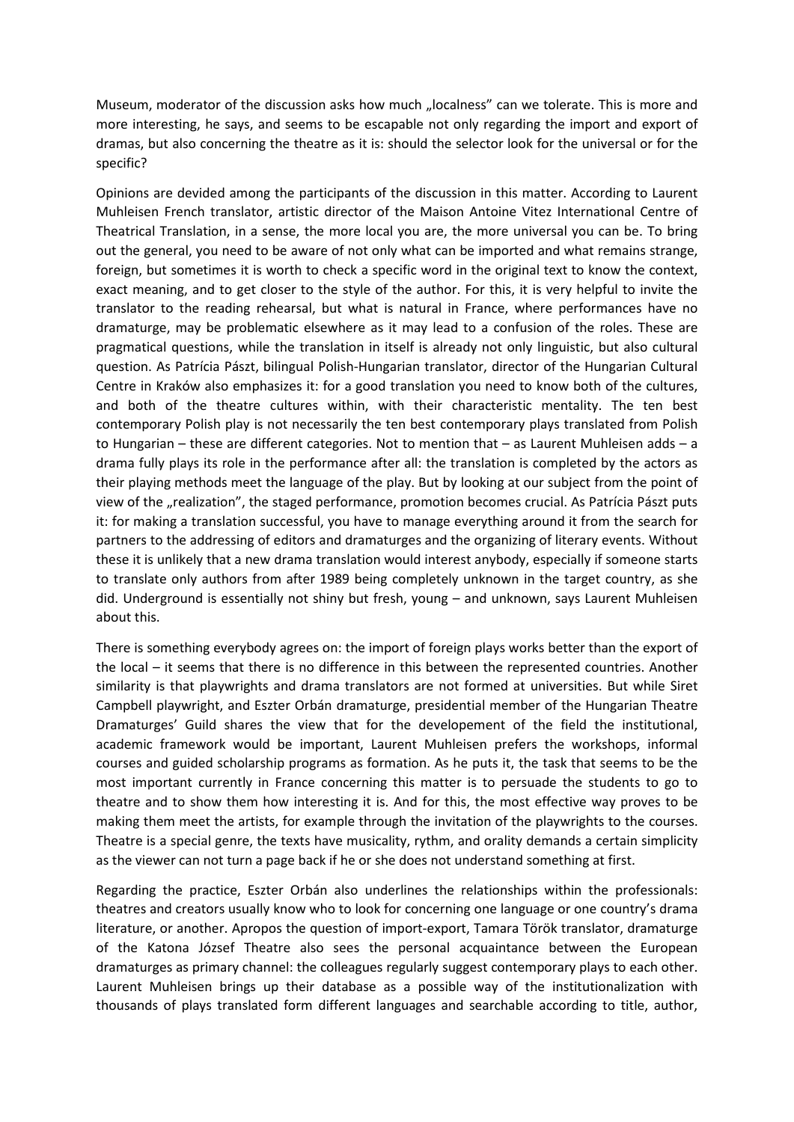Museum, moderator of the discussion asks how much "localness" can we tolerate. This is more and more interesting, he says, and seems to be escapable not only regarding the import and export of dramas, but also concerning the theatre as it is: should the selector look for the universal or for the specific?

Opinions are devided among the participants of the discussion in this matter. According to Laurent Muhleisen French translator, artistic director of the Maison Antoine Vitez International Centre of Theatrical Translation, in a sense, the more local you are, the more universal you can be. To bring out the general, you need to be aware of not only what can be imported and what remains strange, foreign, but sometimes it is worth to check a specific word in the original text to know the context, exact meaning, and to get closer to the style of the author. For this, it is very helpful to invite the translator to the reading rehearsal, but what is natural in France, where performances have no dramaturge, may be problematic elsewhere as it may lead to a confusion of the roles. These are pragmatical questions, while the translation in itself is already not only linguistic, but also cultural question. As Patrícia Pászt, bilingual Polish-Hungarian translator, director of the Hungarian Cultural Centre in Kraków also emphasizes it: for a good translation you need to know both of the cultures, and both of the theatre cultures within, with their characteristic mentality. The ten best contemporary Polish play is not necessarily the ten best contemporary plays translated from Polish to Hungarian – these are different categories. Not to mention that – as Laurent Muhleisen adds – a drama fully plays its role in the performance after all: the translation is completed by the actors as their playing methods meet the language of the play. But by looking at our subject from the point of view of the "realization", the staged performance, promotion becomes crucial. As Patrícia Pászt puts it: for making a translation successful, you have to manage everything around it from the search for partners to the addressing of editors and dramaturges and the organizing of literary events. Without these it is unlikely that a new drama translation would interest anybody, especially if someone starts to translate only authors from after 1989 being completely unknown in the target country, as she did. Underground is essentially not shiny but fresh, young – and unknown, says Laurent Muhleisen about this.

There is something everybody agrees on: the import of foreign plays works better than the export of the local – it seems that there is no difference in this between the represented countries. Another similarity is that playwrights and drama translators are not formed at universities. But while Siret Campbell playwright, and Eszter Orbán dramaturge, presidential member of the Hungarian Theatre Dramaturges' Guild shares the view that for the developement of the field the institutional, academic framework would be important, Laurent Muhleisen prefers the workshops, informal courses and guided scholarship programs as formation. As he puts it, the task that seems to be the most important currently in France concerning this matter is to persuade the students to go to theatre and to show them how interesting it is. And for this, the most effective way proves to be making them meet the artists, for example through the invitation of the playwrights to the courses. Theatre is a special genre, the texts have musicality, rythm, and orality demands a certain simplicity as the viewer can not turn a page back if he or she does not understand something at first.

Regarding the practice, Eszter Orbán also underlines the relationships within the professionals: theatres and creators usually know who to look for concerning one language or one country's drama literature, or another. Apropos the question of import-export, Tamara Török translator, dramaturge of the Katona József Theatre also sees the personal acquaintance between the European dramaturges as primary channel: the colleagues regularly suggest contemporary plays to each other. Laurent Muhleisen brings up their database as a possible way of the institutionalization with thousands of plays translated form different languages and searchable according to title, author,